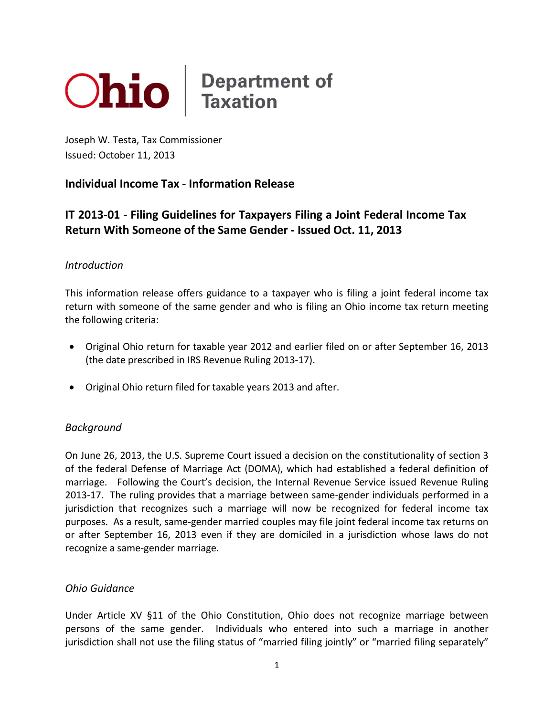

Joseph W. Testa, Tax Commissioner Issued: October 11, 2013

## **Individual Income Tax - Information Release**

# **IT 2013-01 - Filing Guidelines for Taxpayers Filing a Joint Federal Income Tax Return With Someone of the Same Gender - Issued Oct. 11, 2013**

#### *Introduction*

This information release offers guidance to a taxpayer who is filing a joint federal income tax return with someone of the same gender and who is filing an Ohio income tax return meeting the following criteria:

- Original Ohio return for taxable year 2012 and earlier filed on or after September 16, 2013 (the date prescribed in IRS Revenue Ruling 2013-17).
- Original Ohio return filed for taxable years 2013 and after.

## *Background*

On June 26, 2013, the U.S. Supreme Court issued a decision on the constitutionality of section 3 of the federal Defense of Marriage Act (DOMA), which had established a federal definition of marriage. Following the Court's decision, the Internal Revenue Service issued Revenue Ruling 2013-17. The ruling provides that a marriage between same-gender individuals performed in a jurisdiction that recognizes such a marriage will now be recognized for federal income tax purposes. As a result, same-gender married couples may file joint federal income tax returns on or after September 16, 2013 even if they are domiciled in a jurisdiction whose laws do not recognize a same-gender marriage.

#### *Ohio Guidance*

Under Article XV §11 of the Ohio Constitution, Ohio does not recognize marriage between persons of the same gender. Individuals who entered into such a marriage in another jurisdiction shall not use the filing status of "married filing jointly" or "married filing separately"